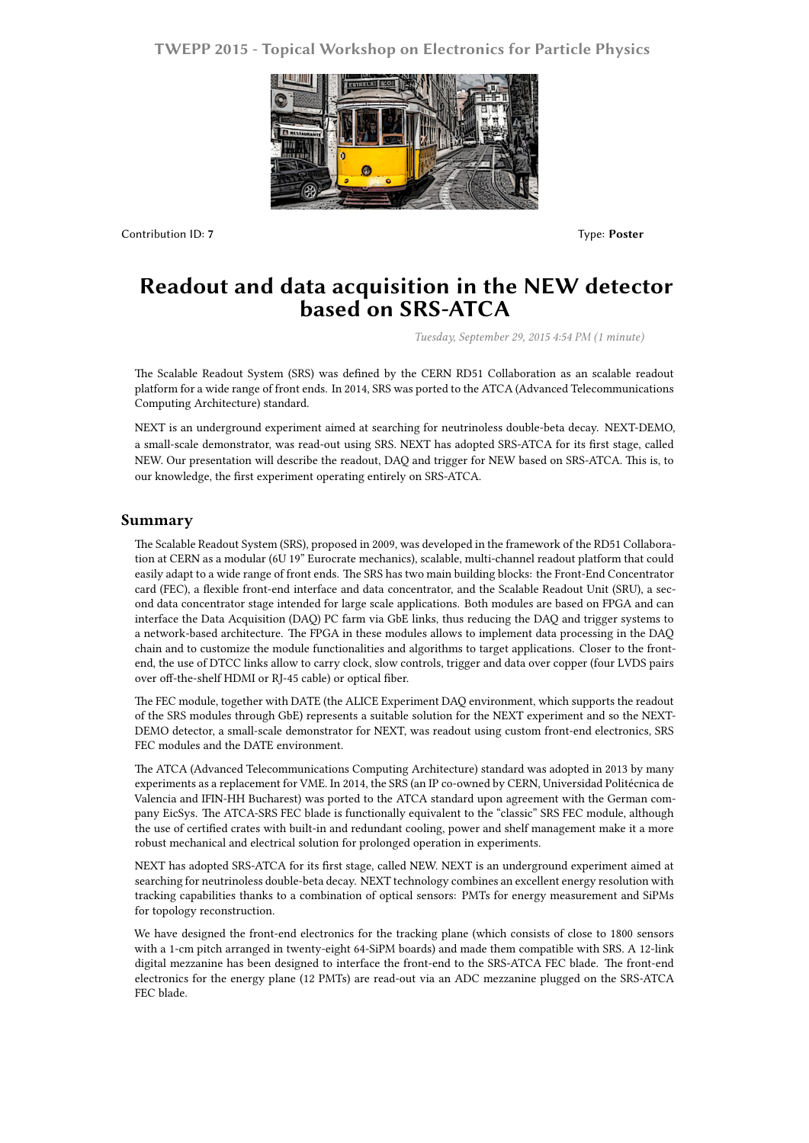## **TWEPP 2015 - Topical Workshop on Electronics for Particle Physics**



Contribution ID: **7** Type: **Poster**

## **Readout and data acquisition in the NEW detector based on SRS-ATCA**

*Tuesday, September 29, 2015 4:54 PM (1 minute)*

The Scalable Readout System (SRS) was defined by the CERN RD51 Collaboration as an scalable readout platform for a wide range of front ends. In 2014, SRS was ported to the ATCA (Advanced Telecommunications Computing Architecture) standard.

NEXT is an underground experiment aimed at searching for neutrinoless double-beta decay. NEXT-DEMO, a small-scale demonstrator, was read-out using SRS. NEXT has adopted SRS-ATCA for its first stage, called NEW. Our presentation will describe the readout, DAQ and trigger for NEW based on SRS-ATCA. This is, to our knowledge, the first experiment operating entirely on SRS-ATCA.

## **Summary**

The Scalable Readout System (SRS), proposed in 2009, was developed in the framework of the RD51 Collaboration at CERN as a modular (6U 19" Eurocrate mechanics), scalable, multi-channel readout platform that could easily adapt to a wide range of front ends. The SRS has two main building blocks: the Front-End Concentrator card (FEC), a flexible front-end interface and data concentrator, and the Scalable Readout Unit (SRU), a second data concentrator stage intended for large scale applications. Both modules are based on FPGA and can interface the Data Acquisition (DAQ) PC farm via GbE links, thus reducing the DAQ and trigger systems to a network-based architecture. The FPGA in these modules allows to implement data processing in the DAQ chain and to customize the module functionalities and algorithms to target applications. Closer to the frontend, the use of DTCC links allow to carry clock, slow controls, trigger and data over copper (four LVDS pairs over off-the-shelf HDMI or RJ-45 cable) or optical fiber.

The FEC module, together with DATE (the ALICE Experiment DAQ environment, which supports the readout of the SRS modules through GbE) represents a suitable solution for the NEXT experiment and so the NEXT-DEMO detector, a small-scale demonstrator for NEXT, was readout using custom front-end electronics, SRS FEC modules and the DATE environment.

The ATCA (Advanced Telecommunications Computing Architecture) standard was adopted in 2013 by many experiments as a replacement for VME. In 2014, the SRS (an IP co-owned by CERN, Universidad Politécnica de Valencia and IFIN-HH Bucharest) was ported to the ATCA standard upon agreement with the German company EicSys. The ATCA-SRS FEC blade is functionally equivalent to the "classic" SRS FEC module, although the use of certified crates with built-in and redundant cooling, power and shelf management make it a more robust mechanical and electrical solution for prolonged operation in experiments.

NEXT has adopted SRS-ATCA for its first stage, called NEW. NEXT is an underground experiment aimed at searching for neutrinoless double-beta decay. NEXT technology combines an excellent energy resolution with tracking capabilities thanks to a combination of optical sensors: PMTs for energy measurement and SiPMs for topology reconstruction.

We have designed the front-end electronics for the tracking plane (which consists of close to 1800 sensors with a 1-cm pitch arranged in twenty-eight 64-SiPM boards) and made them compatible with SRS. A 12-link digital mezzanine has been designed to interface the front-end to the SRS-ATCA FEC blade. The front-end electronics for the energy plane (12 PMTs) are read-out via an ADC mezzanine plugged on the SRS-ATCA FEC blade.